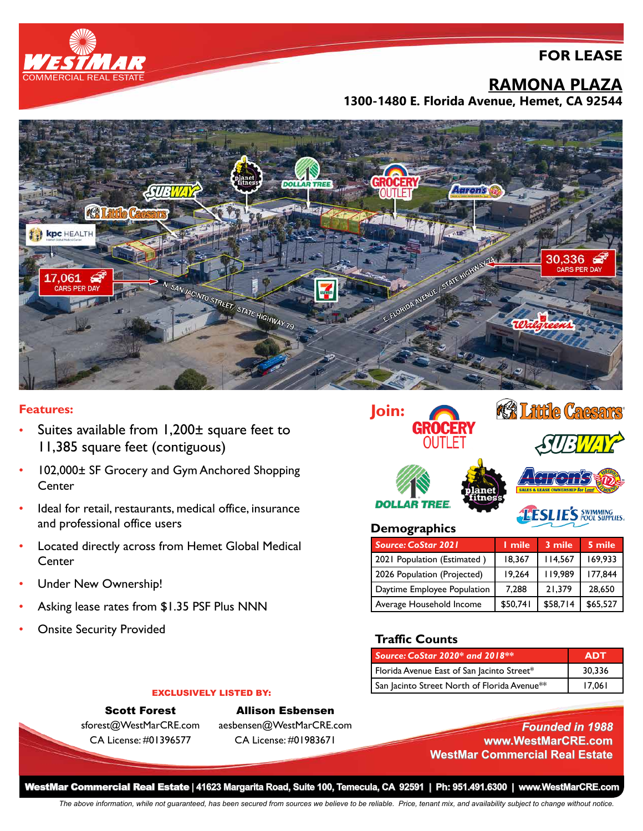## **FOR LEASE**



# **RAMONA PLAZA**

**1300-1480 E. Florida Avenue, Hemet, CA 92544**



#### **Features:**

- Suites available from 1,200± square feet to 11,385 square feet (contiguous)
- 102,000± SF Grocery and Gym Anchored Shopping **Center**
- Ideal for retail, restaurants, medical office, insurance and professional office users
- Located directly across from Hemet Global Medical **Center**
- Under New Ownership!
- Asking lease rates from \$1.35 PSF Plus NNN
- **Onsite Security Provided**



| <b>Source: CoStar 2021</b>  | <b>L</b> mile | 3 mile   | 5 mile   |
|-----------------------------|---------------|----------|----------|
| 2021 Population (Estimated) | 18,367        | 114,567  | 169,933  |
| 2026 Population (Projected) | 19,264        | 119.989  | 177.844  |
| Daytime Employee Population | 7,288         | 21.379   | 28,650   |
| Average Household Income    | \$50,741      | \$58,714 | \$65,527 |

#### **Traffic Counts**

| Source: CoStar 2020* and 2018**              | ADT    |
|----------------------------------------------|--------|
| Florida Avenue East of San Jacinto Street*   | 30.336 |
| San Jacinto Street North of Florida Avenue** | 17.061 |

### Scott Forest sforest@WestMarCRE.com CA License: #01396577

EXCLUSIVELY LISTED BY:

Allison Esbensen aesbensen@WestMarCRE.com CA License: #01983671

*Founded in 1988* **www.WestMarCRE.com WestMar Commercial Real Estate**

WestMar Commercial Real Estate **| 41623 Margarita Road, Suite 100, Temecula, CA 92591 | Ph: 951.491.6300 | www.WestMarCRE.com**

*The above information, while not guaranteed, has been secured from sources we believe to be reliable. Price, tenant mix, and availability subject to change without notice.*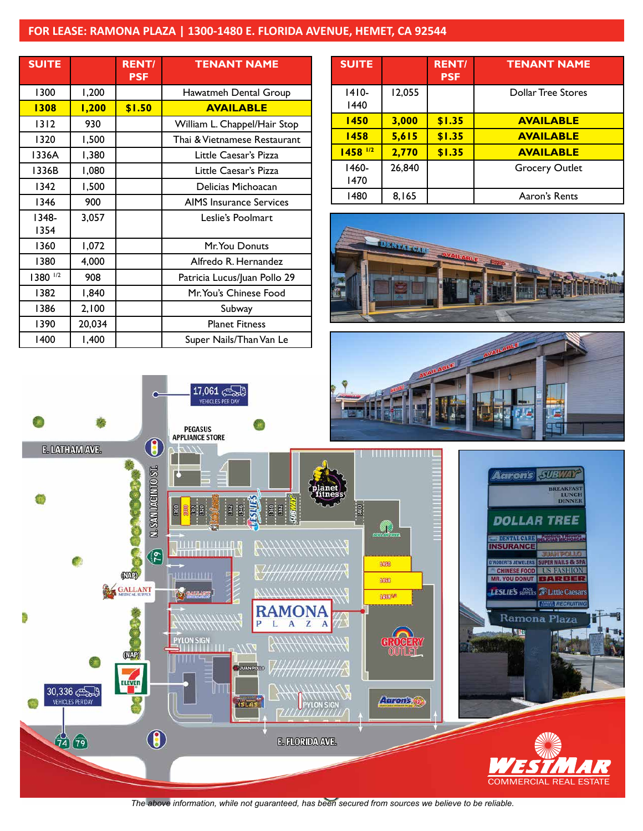## **FOR LEASE: RAMONA PLAZA | 1300-1480 E. FLORIDA AVENUE, HEMET, CA 92544**

17,061

| <b>SUITE</b>  |        | <b>RENT/</b><br><b>PSF</b> | <b>TENANT NAME</b>             |
|---------------|--------|----------------------------|--------------------------------|
| 1300          | 1,200  |                            | Hawatmeh Dental Group          |
| 1308          | 1,200  | \$1.50                     | <b>AVAILABLE</b>               |
| 1312          | 930    |                            | William L. Chappel/Hair Stop   |
| 1320          | 1,500  |                            | Thai & Vietnamese Restaurant   |
| 1336A         | 1,380  |                            | Little Caesar's Pizza          |
| 1336B         | 1,080  |                            | Little Caesar's Pizza          |
| 1342          | 1,500  |                            | Delicias Michoacan             |
| 1346          | 900    |                            | <b>AIMS</b> Insurance Services |
| 1348-<br>1354 | 3,057  |                            | Leslie's Poolmart              |
| 1360          | 1,072  |                            | Mr. You Donuts                 |
| 1380          | 4,000  |                            | Alfredo R. Hernandez           |
| 1380 1/2      | 908    |                            | Patricia Lucus/Juan Pollo 29   |
| 1382          | 1,840  |                            | Mr. You's Chinese Food         |
| 1386          | 2,100  |                            | Subway                         |
| 1390          | 20,034 |                            | <b>Planet Fitness</b>          |
| 1400          | 1,400  |                            | Super Nails/Than Van Le        |

C

| <b>SUITE</b>          |        | <b>RENT/</b><br><b>PSF</b> | <b>TENANT NAME</b>        |
|-----------------------|--------|----------------------------|---------------------------|
| $1410-$<br>1440       | 12,055 |                            | <b>Dollar Tree Stores</b> |
| 1450                  | 3,000  | \$1.35                     | <b>AVAILABLE</b>          |
| 1458                  | 5,615  | \$1.35                     | <b>AVAILABLE</b>          |
| $1458$ <sup>1/2</sup> | 2,770  | \$1.35                     | <b>AVAILABLE</b>          |
| 1460-<br>1470         | 26,840 |                            | <b>Grocery Outlet</b>     |
| 1480                  | 8,165  |                            | Aaron's Rents             |







*The above information, while not guaranteed, has been secured from sources we believe to be reliable.*